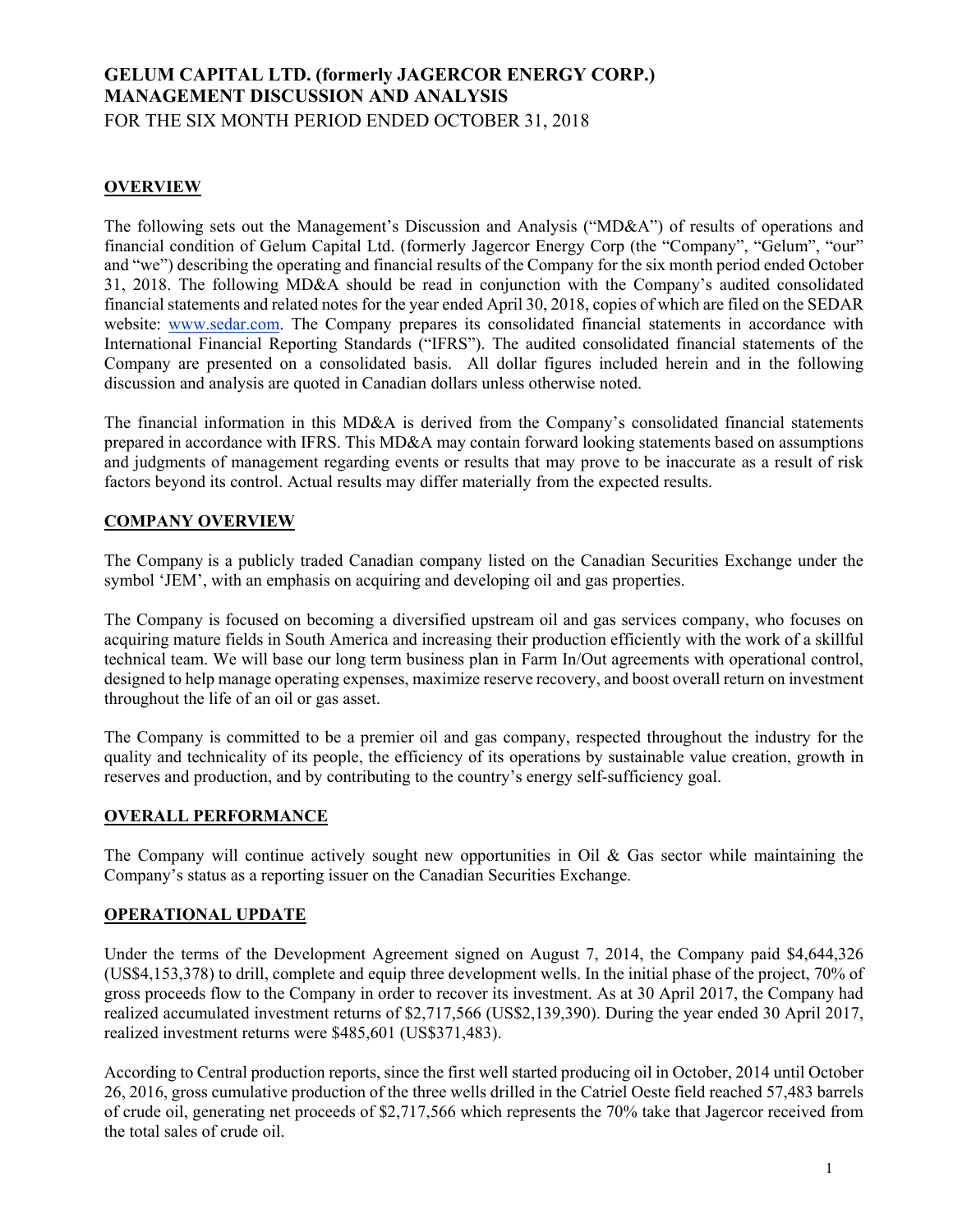# **GELUM CAPITAL LTD. (formerly JAGERCOR ENERGY CORP.) MANAGEMENT DISCUSSION AND ANALYSIS** FOR THE SIX MONTH PERIOD ENDED OCTOBER 31, 2018

# **OVERVIEW**

The following sets out the Management's Discussion and Analysis ("MD&A") of results of operations and financial condition of Gelum Capital Ltd. (formerly Jagercor Energy Corp (the "Company", "Gelum", "our" and "we") describing the operating and financial results of the Company for the six month period ended October 31, 2018. The following MD&A should be read in conjunction with the Company's audited consolidated financial statements and related notes for the year ended April 30, 2018, copies of which are filed on the SEDAR website: www.sedar.com. The Company prepares its consolidated financial statements in accordance with International Financial Reporting Standards ("IFRS"). The audited consolidated financial statements of the Company are presented on a consolidated basis. All dollar figures included herein and in the following discussion and analysis are quoted in Canadian dollars unless otherwise noted.

The financial information in this MD&A is derived from the Company's consolidated financial statements prepared in accordance with IFRS. This MD&A may contain forward looking statements based on assumptions and judgments of management regarding events or results that may prove to be inaccurate as a result of risk factors beyond its control. Actual results may differ materially from the expected results.

# **COMPANY OVERVIEW**

The Company is a publicly traded Canadian company listed on the Canadian Securities Exchange under the symbol 'JEM', with an emphasis on acquiring and developing oil and gas properties.

The Company is focused on becoming a diversified upstream oil and gas services company, who focuses on acquiring mature fields in South America and increasing their production efficiently with the work of a skillful technical team. We will base our long term business plan in Farm In/Out agreements with operational control, designed to help manage operating expenses, maximize reserve recovery, and boost overall return on investment throughout the life of an oil or gas asset.

The Company is committed to be a premier oil and gas company, respected throughout the industry for the quality and technicality of its people, the efficiency of its operations by sustainable value creation, growth in reserves and production, and by contributing to the country's energy self-sufficiency goal.

# **OVERALL PERFORMANCE**

The Company will continue actively sought new opportunities in Oil  $\&$  Gas sector while maintaining the Company's status as a reporting issuer on the Canadian Securities Exchange.

# **OPERATIONAL UPDATE**

Under the terms of the Development Agreement signed on August 7, 2014, the Company paid \$4,644,326 (US\$4,153,378) to drill, complete and equip three development wells. In the initial phase of the project, 70% of gross proceeds flow to the Company in order to recover its investment. As at 30 April 2017, the Company had realized accumulated investment returns of \$2,717,566 (US\$2,139,390). During the year ended 30 April 2017, realized investment returns were \$485,601 (US\$371,483).

According to Central production reports, since the first well started producing oil in October, 2014 until October 26, 2016, gross cumulative production of the three wells drilled in the Catriel Oeste field reached 57,483 barrels of crude oil, generating net proceeds of \$2,717,566 which represents the 70% take that Jagercor received from the total sales of crude oil.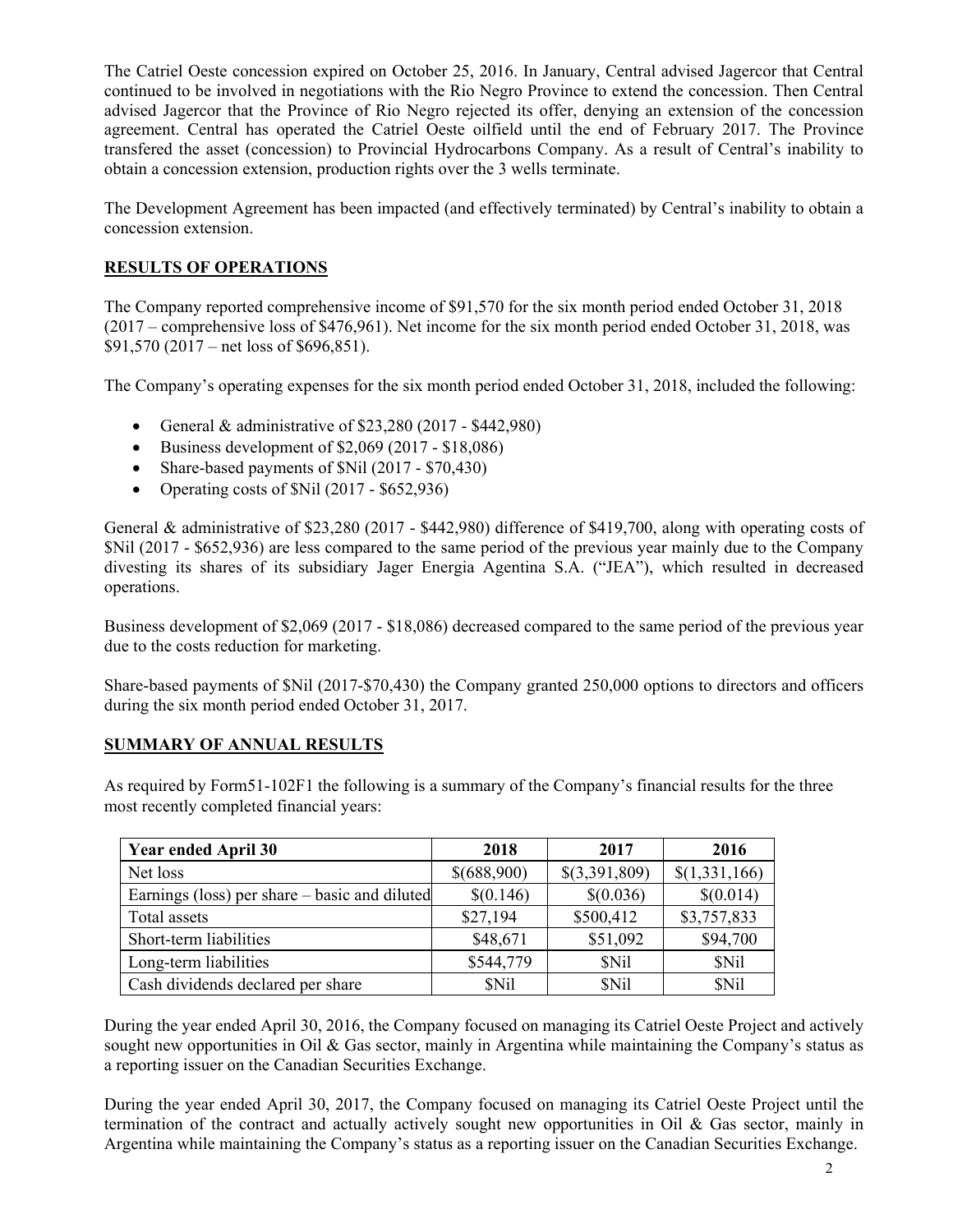The Catriel Oeste concession expired on October 25, 2016. In January, Central advised Jagercor that Central continued to be involved in negotiations with the Rio Negro Province to extend the concession. Then Central advised Jagercor that the Province of Rio Negro rejected its offer, denying an extension of the concession agreement. Central has operated the Catriel Oeste oilfield until the end of February 2017. The Province transfered the asset (concession) to Provincial Hydrocarbons Company. As a result of Central's inability to obtain a concession extension, production rights over the 3 wells terminate.

The Development Agreement has been impacted (and effectively terminated) by Central's inability to obtain a concession extension.

# **RESULTS OF OPERATIONS**

The Company reported comprehensive income of \$91,570 for the six month period ended October 31, 2018 (2017 – comprehensive loss of \$476,961). Net income for the six month period ended October 31, 2018, was \$91,570 (2017 – net loss of \$696,851).

The Company's operating expenses for the six month period ended October 31, 2018, included the following:

- General & administrative of  $$23,280 (2017 $442,980)$
- $\bullet$  Business development of \$2,069 (2017 \$18,086)
- Share-based payments of \$Nil (2017 \$70,430)
- Operating costs of  $Nil$  (2017 \$652,936)

General & administrative of \$23,280 (2017 - \$442,980) difference of \$419,700, along with operating costs of \$Nil (2017 - \$652,936) are less compared to the same period of the previous year mainly due to the Company divesting its shares of its subsidiary Jager Energia Agentina S.A. ("JEA"), which resulted in decreased operations.

Business development of \$2,069 (2017 - \$18,086) decreased compared to the same period of the previous year due to the costs reduction for marketing.

Share-based payments of \$Nil (2017-\$70,430) the Company granted 250,000 options to directors and officers during the six month period ended October 31, 2017.

### **SUMMARY OF ANNUAL RESULTS**

As required by Form51-102F1 the following is a summary of the Company's financial results for the three most recently completed financial years:

| <b>Year ended April 30</b>                    | 2018        | 2017          | 2016          |
|-----------------------------------------------|-------------|---------------|---------------|
| Net loss                                      | \$(688,900) | \$(3,391,809) | \$(1,331,166) |
| Earnings (loss) per share – basic and diluted | \$(0.146)   | \$(0.036)     | \$(0.014)     |
| Total assets                                  | \$27,194    | \$500,412     | \$3,757,833   |
| Short-term liabilities                        | \$48,671    | \$51,092      | \$94,700      |
| Long-term liabilities                         | \$544,779   | <b>SNil</b>   | \$Nil         |
| Cash dividends declared per share             | <b>SNil</b> | <b>SNil</b>   | \$Nil         |

During the year ended April 30, 2016, the Company focused on managing its Catriel Oeste Project and actively sought new opportunities in Oil & Gas sector, mainly in Argentina while maintaining the Company's status as a reporting issuer on the Canadian Securities Exchange.

During the year ended April 30, 2017, the Company focused on managing its Catriel Oeste Project until the termination of the contract and actually actively sought new opportunities in Oil  $\&$  Gas sector, mainly in Argentina while maintaining the Company's status as a reporting issuer on the Canadian Securities Exchange.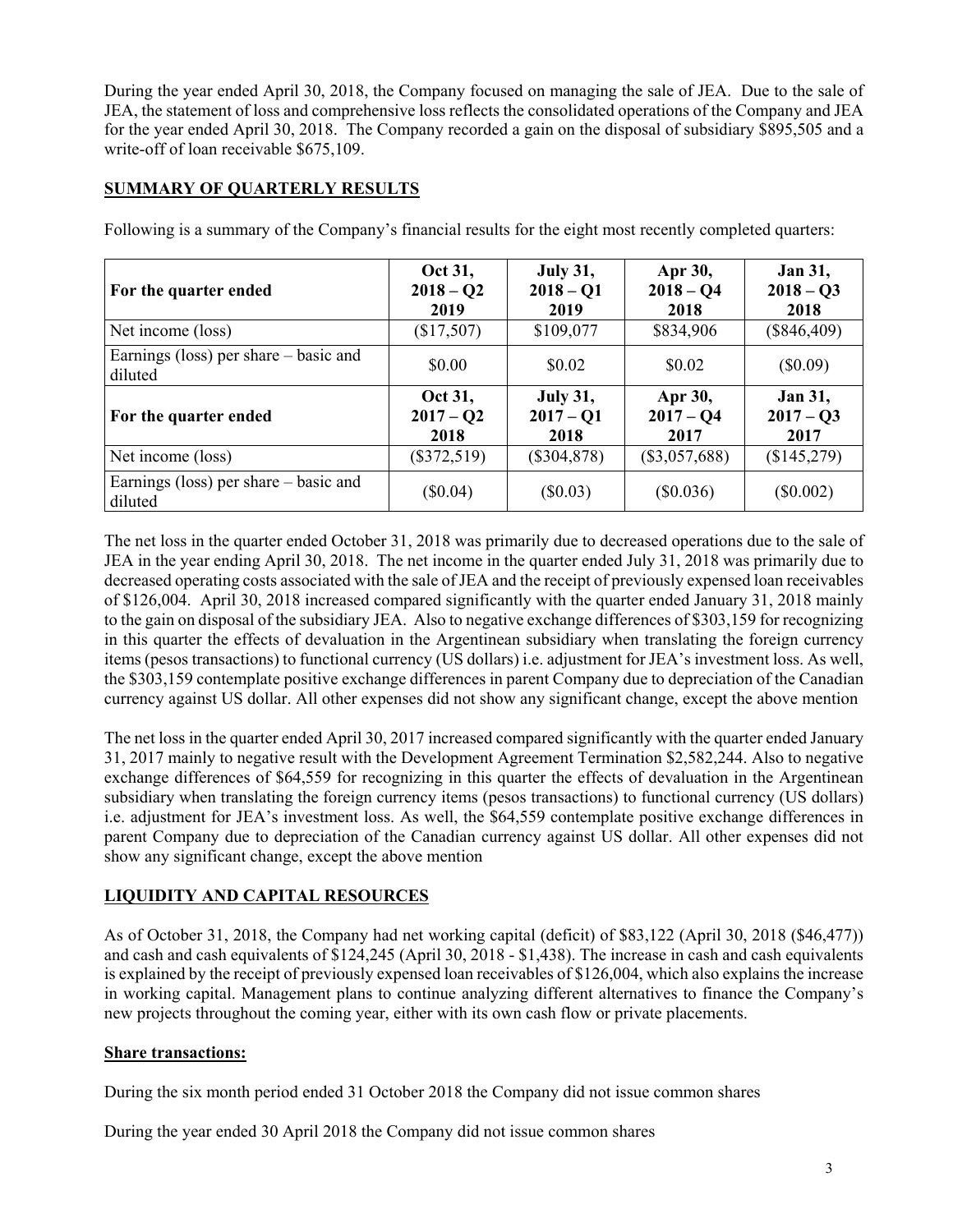During the year ended April 30, 2018, the Company focused on managing the sale of JEA. Due to the sale of JEA, the statement of loss and comprehensive loss reflects the consolidated operations of the Company and JEA for the year ended April 30, 2018. The Company recorded a gain on the disposal of subsidiary \$895,505 and a write-off of loan receivable \$675,109.

# **SUMMARY OF QUARTERLY RESULTS**

| For the quarter ended                              | Oct 31,<br>$2018 - Q2$<br>2019 | <b>July 31,</b><br>$2018 - Q1$<br>2019 | Apr 30,<br>$2018 - Q4$<br>2018 | <b>Jan 31,</b><br>$2018 - Q3$<br>2018 |
|----------------------------------------------------|--------------------------------|----------------------------------------|--------------------------------|---------------------------------------|
| Net income (loss)                                  | (\$17,507)                     | \$109,077                              | \$834,906                      | $(\$846,409)$                         |
| Earnings (loss) per share – basic and<br>diluted   | \$0.00                         | \$0.02                                 | \$0.02                         | $(\$0.09)$                            |
| For the quarter ended                              | Oct 31,<br>$2017 - Q2$<br>2018 | <b>July 31,</b><br>$2017 - Q1$<br>2018 | Apr 30,<br>$2017 - Q4$<br>2017 | <b>Jan 31,</b><br>$2017 - Q3$<br>2017 |
| Net income (loss)                                  | $(\$372,519)$                  | $(\$304,878)$                          | $(\$3,057,688)$                | (\$145,279)                           |
| Earnings (loss) per share $-$ basic and<br>diluted | $(\$0.04)$                     | $(\$0.03)$                             | $(\$0.036)$                    | $(\$0.002)$                           |

Following is a summary of the Company's financial results for the eight most recently completed quarters:

The net loss in the quarter ended October 31, 2018 was primarily due to decreased operations due to the sale of JEA in the year ending April 30, 2018. The net income in the quarter ended July 31, 2018 was primarily due to decreased operating costs associated with the sale of JEA and the receipt of previously expensed loan receivables of \$126,004. April 30, 2018 increased compared significantly with the quarter ended January 31, 2018 mainly to the gain on disposal of the subsidiary JEA. Also to negative exchange differences of \$303,159 for recognizing in this quarter the effects of devaluation in the Argentinean subsidiary when translating the foreign currency items (pesos transactions) to functional currency (US dollars) i.e. adjustment for JEA's investment loss. As well, the \$303,159 contemplate positive exchange differences in parent Company due to depreciation of the Canadian currency against US dollar. All other expenses did not show any significant change, except the above mention

The net loss in the quarter ended April 30, 2017 increased compared significantly with the quarter ended January 31, 2017 mainly to negative result with the Development Agreement Termination \$2,582,244. Also to negative exchange differences of \$64,559 for recognizing in this quarter the effects of devaluation in the Argentinean subsidiary when translating the foreign currency items (pesos transactions) to functional currency (US dollars) i.e. adjustment for JEA's investment loss. As well, the \$64,559 contemplate positive exchange differences in parent Company due to depreciation of the Canadian currency against US dollar. All other expenses did not show any significant change, except the above mention

# **LIQUIDITY AND CAPITAL RESOURCES**

As of October 31, 2018, the Company had net working capital (deficit) of \$83,122 (April 30, 2018 (\$46,477)) and cash and cash equivalents of \$124,245 (April 30, 2018 - \$1,438). The increase in cash and cash equivalents is explained by the receipt of previously expensed loan receivables of \$126,004, which also explains the increase in working capital. Management plans to continue analyzing different alternatives to finance the Company's new projects throughout the coming year, either with its own cash flow or private placements.

# **Share transactions:**

During the six month period ended 31 October 2018 the Company did not issue common shares

During the year ended 30 April 2018 the Company did not issue common shares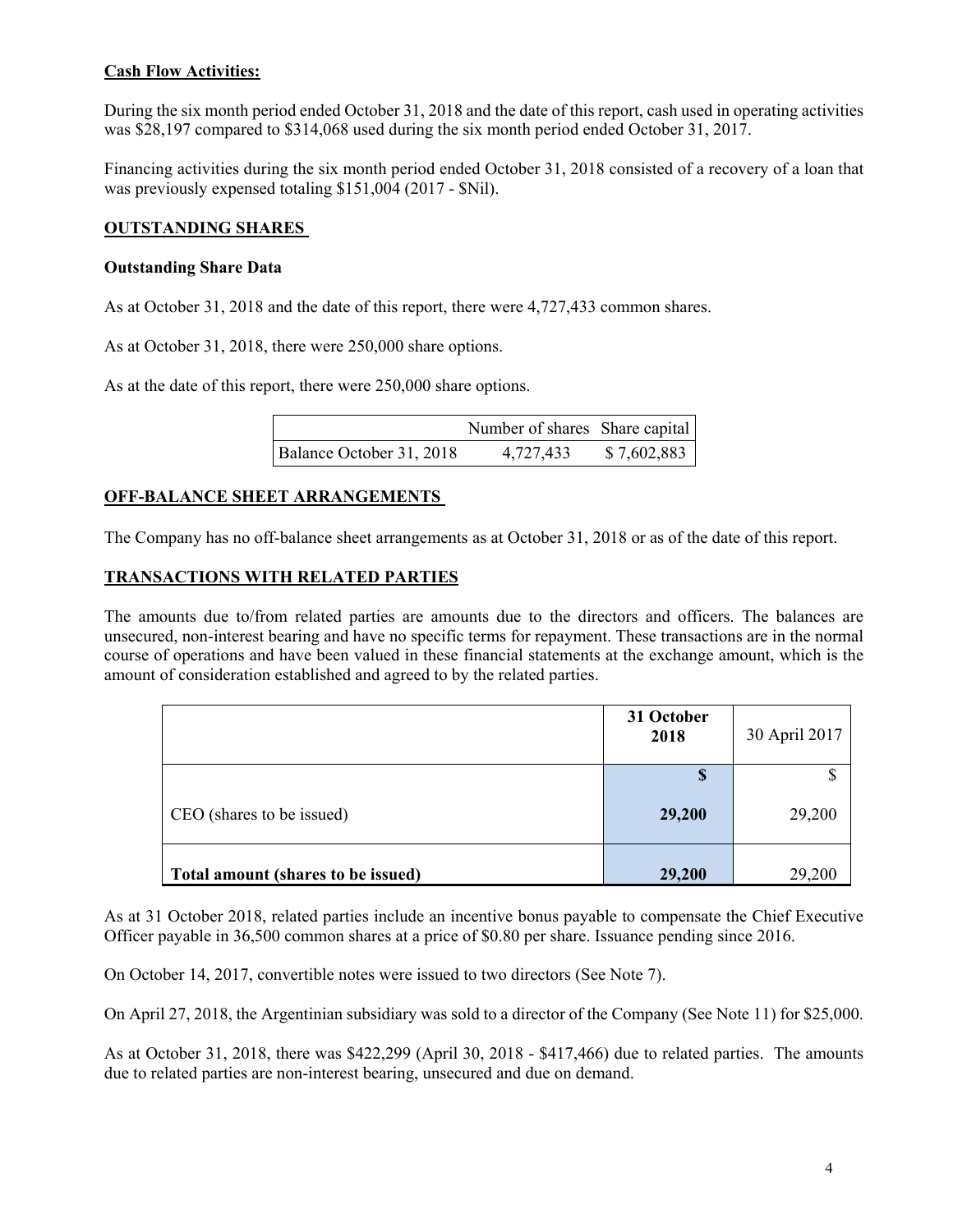### **Cash Flow Activities:**

During the six month period ended October 31, 2018 and the date of this report, cash used in operating activities was \$28,197 compared to \$314,068 used during the six month period ended October 31, 2017.

Financing activities during the six month period ended October 31, 2018 consisted of a recovery of a loan that was previously expensed totaling \$151,004 (2017 - \$Nil).

#### **OUTSTANDING SHARES**

#### **Outstanding Share Data**

As at October 31, 2018 and the date of this report, there were 4,727,433 common shares.

As at October 31, 2018, there were 250,000 share options.

As at the date of this report, there were 250,000 share options.

|                          | Number of shares Share capital |             |
|--------------------------|--------------------------------|-------------|
| Balance October 31, 2018 | 4,727,433                      | \$7,602,883 |

#### **OFF-BALANCE SHEET ARRANGEMENTS**

The Company has no off-balance sheet arrangements as at October 31, 2018 or as of the date of this report.

#### **TRANSACTIONS WITH RELATED PARTIES**

The amounts due to/from related parties are amounts due to the directors and officers. The balances are unsecured, non-interest bearing and have no specific terms for repayment. These transactions are in the normal course of operations and have been valued in these financial statements at the exchange amount, which is the amount of consideration established and agreed to by the related parties.

|                                    | 31 October<br>2018 | 30 April 2017 |
|------------------------------------|--------------------|---------------|
|                                    | \$                 |               |
| CEO (shares to be issued)          | 29,200             | 29,200        |
| Total amount (shares to be issued) | 29,200             | 29,200        |

As at 31 October 2018, related parties include an incentive bonus payable to compensate the Chief Executive Officer payable in 36,500 common shares at a price of \$0.80 per share. Issuance pending since 2016.

On October 14, 2017, convertible notes were issued to two directors (See Note 7).

On April 27, 2018, the Argentinian subsidiary was sold to a director of the Company (See Note 11) for \$25,000.

As at October 31, 2018, there was \$422,299 (April 30, 2018 - \$417,466) due to related parties. The amounts due to related parties are non-interest bearing, unsecured and due on demand.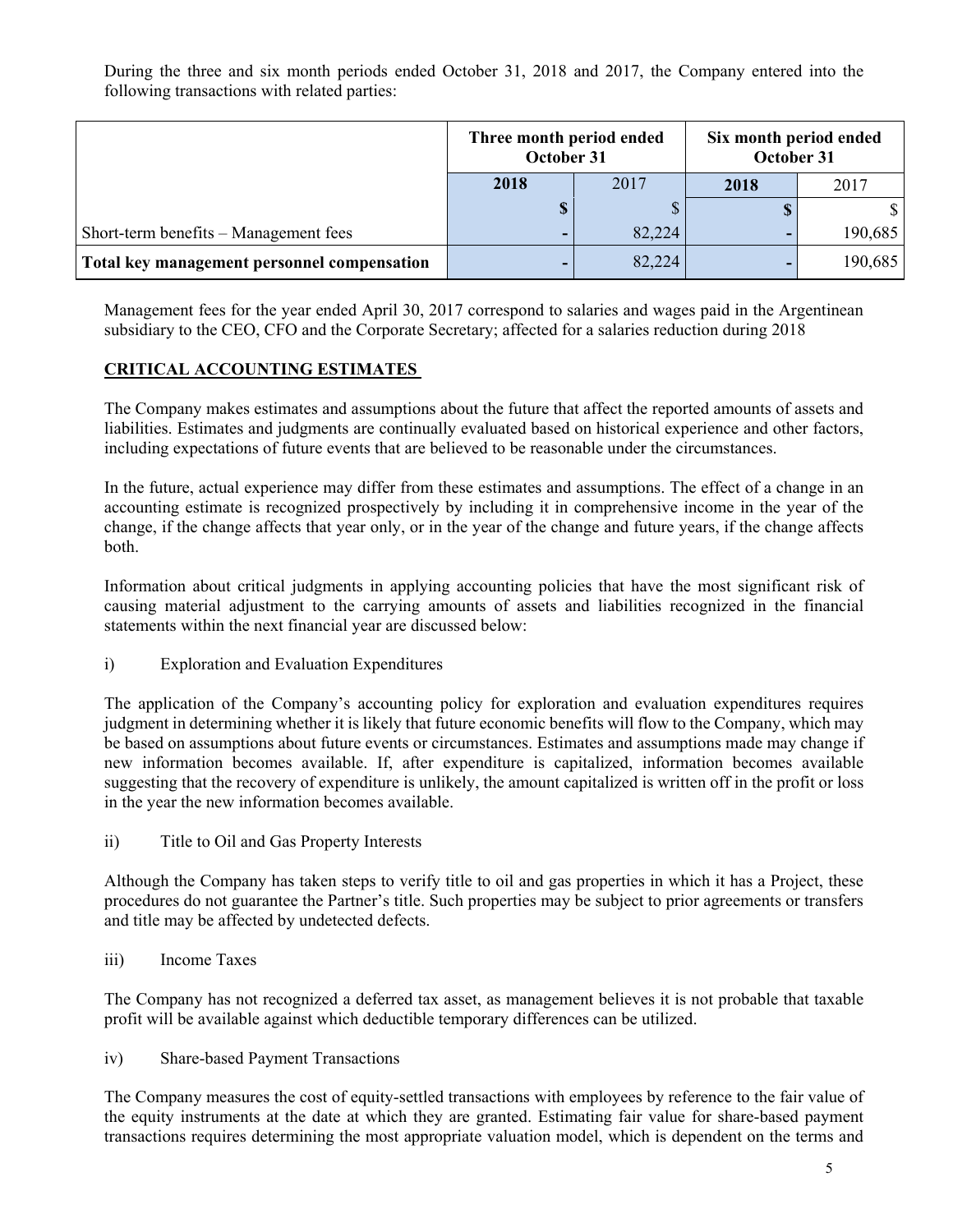During the three and six month periods ended October 31, 2018 and 2017, the Company entered into the following transactions with related parties:

|                                             | Three month period ended<br>October 31 |        | Six month period ended<br>October 31 |         |
|---------------------------------------------|----------------------------------------|--------|--------------------------------------|---------|
|                                             | 2018                                   | 2017   | 2018                                 | 2017    |
|                                             |                                        |        |                                      |         |
| Short-term benefits – Management fees       | -                                      | 82,224 | ۰                                    | 190,685 |
| Total key management personnel compensation | -                                      | 82,224 | -                                    | 190,685 |

Management fees for the year ended April 30, 2017 correspond to salaries and wages paid in the Argentinean subsidiary to the CEO, CFO and the Corporate Secretary; affected for a salaries reduction during 2018

### **CRITICAL ACCOUNTING ESTIMATES**

The Company makes estimates and assumptions about the future that affect the reported amounts of assets and liabilities. Estimates and judgments are continually evaluated based on historical experience and other factors, including expectations of future events that are believed to be reasonable under the circumstances.

In the future, actual experience may differ from these estimates and assumptions. The effect of a change in an accounting estimate is recognized prospectively by including it in comprehensive income in the year of the change, if the change affects that year only, or in the year of the change and future years, if the change affects both.

Information about critical judgments in applying accounting policies that have the most significant risk of causing material adjustment to the carrying amounts of assets and liabilities recognized in the financial statements within the next financial year are discussed below:

i) Exploration and Evaluation Expenditures

The application of the Company's accounting policy for exploration and evaluation expenditures requires judgment in determining whether it is likely that future economic benefits will flow to the Company, which may be based on assumptions about future events or circumstances. Estimates and assumptions made may change if new information becomes available. If, after expenditure is capitalized, information becomes available suggesting that the recovery of expenditure is unlikely, the amount capitalized is written off in the profit or loss in the year the new information becomes available.

ii) Title to Oil and Gas Property Interests

Although the Company has taken steps to verify title to oil and gas properties in which it has a Project, these procedures do not guarantee the Partner's title. Such properties may be subject to prior agreements or transfers and title may be affected by undetected defects.

iii) Income Taxes

The Company has not recognized a deferred tax asset, as management believes it is not probable that taxable profit will be available against which deductible temporary differences can be utilized.

iv) Share-based Payment Transactions

The Company measures the cost of equity-settled transactions with employees by reference to the fair value of the equity instruments at the date at which they are granted. Estimating fair value for share-based payment transactions requires determining the most appropriate valuation model, which is dependent on the terms and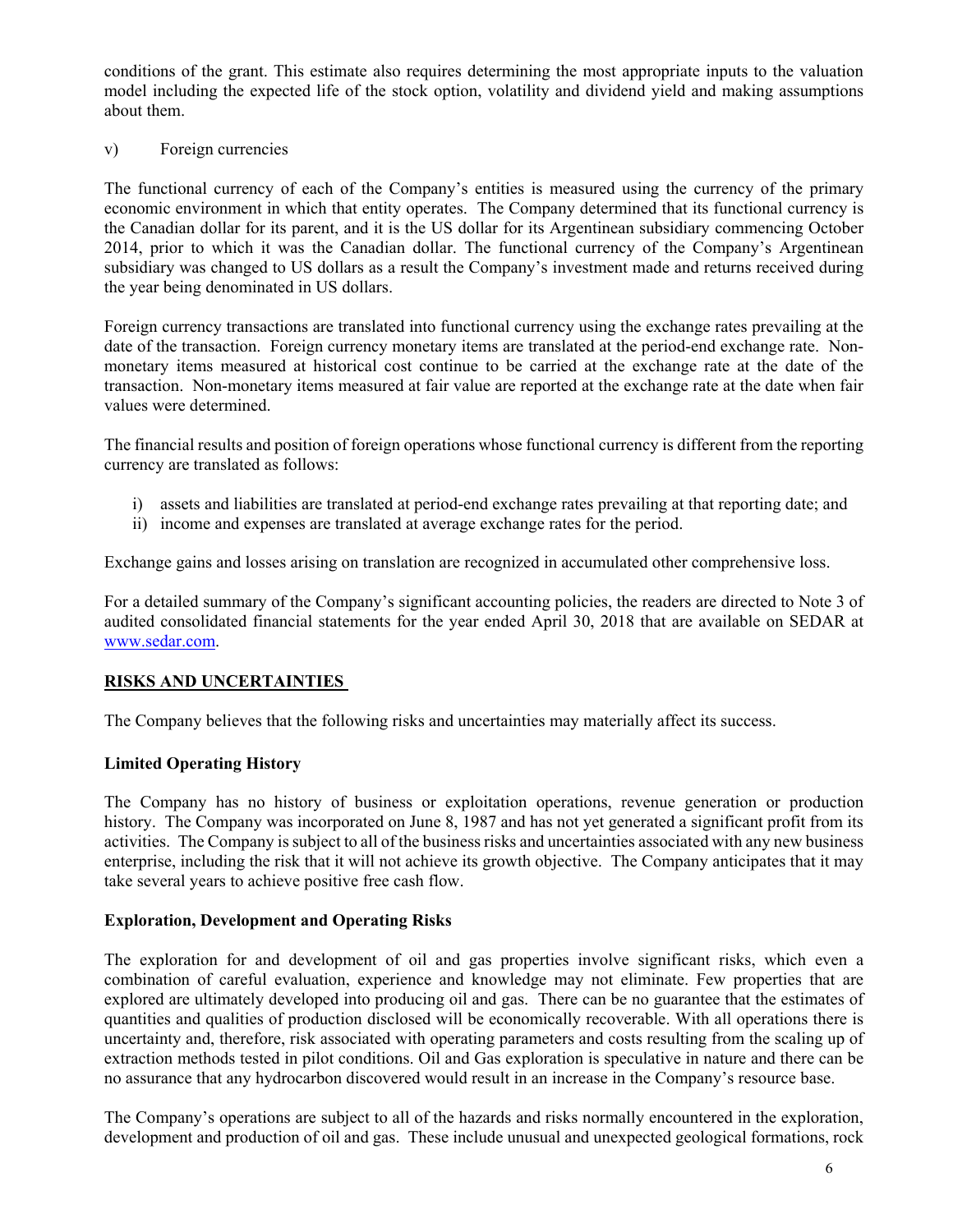conditions of the grant. This estimate also requires determining the most appropriate inputs to the valuation model including the expected life of the stock option, volatility and dividend yield and making assumptions about them.

#### v) Foreign currencies

The functional currency of each of the Company's entities is measured using the currency of the primary economic environment in which that entity operates. The Company determined that its functional currency is the Canadian dollar for its parent, and it is the US dollar for its Argentinean subsidiary commencing October 2014, prior to which it was the Canadian dollar. The functional currency of the Company's Argentinean subsidiary was changed to US dollars as a result the Company's investment made and returns received during the year being denominated in US dollars.

Foreign currency transactions are translated into functional currency using the exchange rates prevailing at the date of the transaction. Foreign currency monetary items are translated at the period-end exchange rate. Nonmonetary items measured at historical cost continue to be carried at the exchange rate at the date of the transaction. Non-monetary items measured at fair value are reported at the exchange rate at the date when fair values were determined.

The financial results and position of foreign operations whose functional currency is different from the reporting currency are translated as follows:

- i) assets and liabilities are translated at period-end exchange rates prevailing at that reporting date; and
- ii) income and expenses are translated at average exchange rates for the period.

Exchange gains and losses arising on translation are recognized in accumulated other comprehensive loss.

For a detailed summary of the Company's significant accounting policies, the readers are directed to Note 3 of audited consolidated financial statements for the year ended April 30, 2018 that are available on SEDAR at www.sedar.com.

#### **RISKS AND UNCERTAINTIES**

The Company believes that the following risks and uncertainties may materially affect its success.

#### **Limited Operating History**

The Company has no history of business or exploitation operations, revenue generation or production history. The Company was incorporated on June 8, 1987 and has not yet generated a significant profit from its activities. The Company is subject to all of the business risks and uncertainties associated with any new business enterprise, including the risk that it will not achieve its growth objective. The Company anticipates that it may take several years to achieve positive free cash flow.

### **Exploration, Development and Operating Risks**

The exploration for and development of oil and gas properties involve significant risks, which even a combination of careful evaluation, experience and knowledge may not eliminate. Few properties that are explored are ultimately developed into producing oil and gas. There can be no guarantee that the estimates of quantities and qualities of production disclosed will be economically recoverable. With all operations there is uncertainty and, therefore, risk associated with operating parameters and costs resulting from the scaling up of extraction methods tested in pilot conditions. Oil and Gas exploration is speculative in nature and there can be no assurance that any hydrocarbon discovered would result in an increase in the Company's resource base.

The Company's operations are subject to all of the hazards and risks normally encountered in the exploration, development and production of oil and gas. These include unusual and unexpected geological formations, rock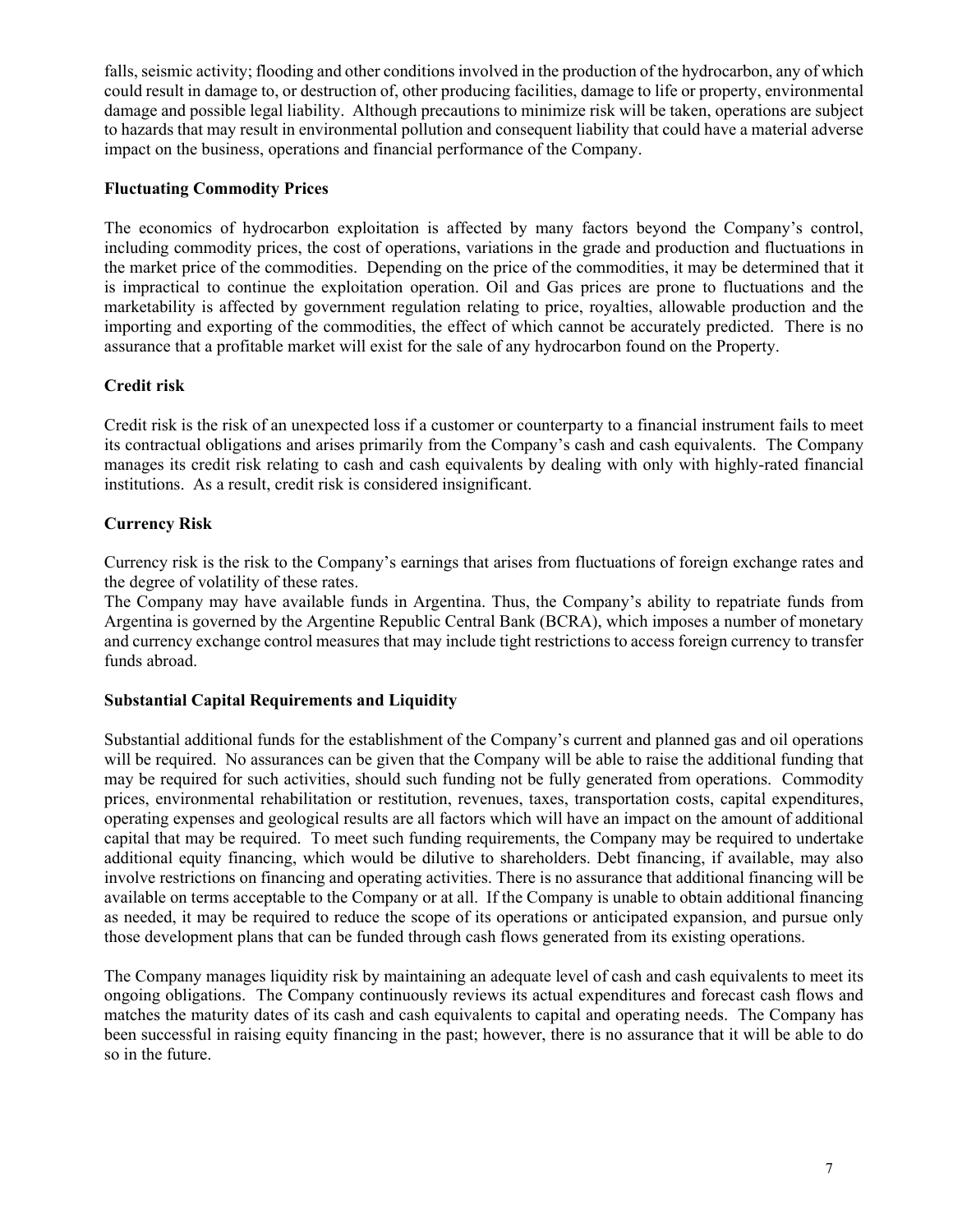falls, seismic activity; flooding and other conditions involved in the production of the hydrocarbon, any of which could result in damage to, or destruction of, other producing facilities, damage to life or property, environmental damage and possible legal liability. Although precautions to minimize risk will be taken, operations are subject to hazards that may result in environmental pollution and consequent liability that could have a material adverse impact on the business, operations and financial performance of the Company.

# **Fluctuating Commodity Prices**

The economics of hydrocarbon exploitation is affected by many factors beyond the Company's control, including commodity prices, the cost of operations, variations in the grade and production and fluctuations in the market price of the commodities. Depending on the price of the commodities, it may be determined that it is impractical to continue the exploitation operation. Oil and Gas prices are prone to fluctuations and the marketability is affected by government regulation relating to price, royalties, allowable production and the importing and exporting of the commodities, the effect of which cannot be accurately predicted. There is no assurance that a profitable market will exist for the sale of any hydrocarbon found on the Property.

# **Credit risk**

Credit risk is the risk of an unexpected loss if a customer or counterparty to a financial instrument fails to meet its contractual obligations and arises primarily from the Company's cash and cash equivalents. The Company manages its credit risk relating to cash and cash equivalents by dealing with only with highly-rated financial institutions. As a result, credit risk is considered insignificant.

### **Currency Risk**

Currency risk is the risk to the Company's earnings that arises from fluctuations of foreign exchange rates and the degree of volatility of these rates.

The Company may have available funds in Argentina. Thus, the Company's ability to repatriate funds from Argentina is governed by the Argentine Republic Central Bank (BCRA), which imposes a number of monetary and currency exchange control measures that may include tight restrictions to access foreign currency to transfer funds abroad.

#### **Substantial Capital Requirements and Liquidity**

Substantial additional funds for the establishment of the Company's current and planned gas and oil operations will be required. No assurances can be given that the Company will be able to raise the additional funding that may be required for such activities, should such funding not be fully generated from operations. Commodity prices, environmental rehabilitation or restitution, revenues, taxes, transportation costs, capital expenditures, operating expenses and geological results are all factors which will have an impact on the amount of additional capital that may be required. To meet such funding requirements, the Company may be required to undertake additional equity financing, which would be dilutive to shareholders. Debt financing, if available, may also involve restrictions on financing and operating activities. There is no assurance that additional financing will be available on terms acceptable to the Company or at all. If the Company is unable to obtain additional financing as needed, it may be required to reduce the scope of its operations or anticipated expansion, and pursue only those development plans that can be funded through cash flows generated from its existing operations.

The Company manages liquidity risk by maintaining an adequate level of cash and cash equivalents to meet its ongoing obligations. The Company continuously reviews its actual expenditures and forecast cash flows and matches the maturity dates of its cash and cash equivalents to capital and operating needs. The Company has been successful in raising equity financing in the past; however, there is no assurance that it will be able to do so in the future.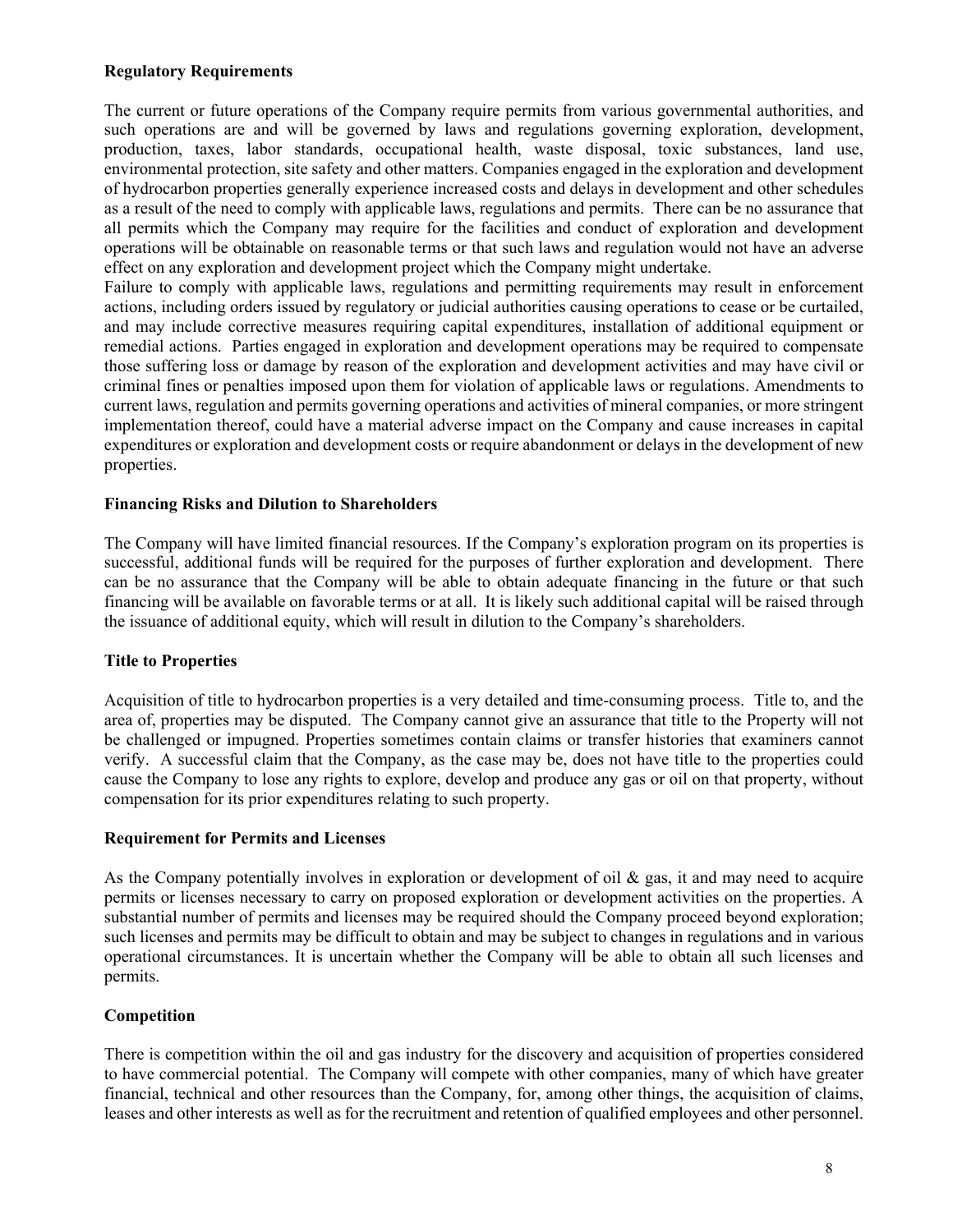### **Regulatory Requirements**

The current or future operations of the Company require permits from various governmental authorities, and such operations are and will be governed by laws and regulations governing exploration, development, production, taxes, labor standards, occupational health, waste disposal, toxic substances, land use, environmental protection, site safety and other matters. Companies engaged in the exploration and development of hydrocarbon properties generally experience increased costs and delays in development and other schedules as a result of the need to comply with applicable laws, regulations and permits. There can be no assurance that all permits which the Company may require for the facilities and conduct of exploration and development operations will be obtainable on reasonable terms or that such laws and regulation would not have an adverse effect on any exploration and development project which the Company might undertake.

Failure to comply with applicable laws, regulations and permitting requirements may result in enforcement actions, including orders issued by regulatory or judicial authorities causing operations to cease or be curtailed, and may include corrective measures requiring capital expenditures, installation of additional equipment or remedial actions. Parties engaged in exploration and development operations may be required to compensate those suffering loss or damage by reason of the exploration and development activities and may have civil or criminal fines or penalties imposed upon them for violation of applicable laws or regulations. Amendments to current laws, regulation and permits governing operations and activities of mineral companies, or more stringent implementation thereof, could have a material adverse impact on the Company and cause increases in capital expenditures or exploration and development costs or require abandonment or delays in the development of new properties.

### **Financing Risks and Dilution to Shareholders**

The Company will have limited financial resources. If the Company's exploration program on its properties is successful, additional funds will be required for the purposes of further exploration and development. There can be no assurance that the Company will be able to obtain adequate financing in the future or that such financing will be available on favorable terms or at all. It is likely such additional capital will be raised through the issuance of additional equity, which will result in dilution to the Company's shareholders.

#### **Title to Properties**

Acquisition of title to hydrocarbon properties is a very detailed and time-consuming process. Title to, and the area of, properties may be disputed. The Company cannot give an assurance that title to the Property will not be challenged or impugned. Properties sometimes contain claims or transfer histories that examiners cannot verify. A successful claim that the Company, as the case may be, does not have title to the properties could cause the Company to lose any rights to explore, develop and produce any gas or oil on that property, without compensation for its prior expenditures relating to such property.

#### **Requirement for Permits and Licenses**

As the Company potentially involves in exploration or development of oil & gas, it and may need to acquire permits or licenses necessary to carry on proposed exploration or development activities on the properties. A substantial number of permits and licenses may be required should the Company proceed beyond exploration; such licenses and permits may be difficult to obtain and may be subject to changes in regulations and in various operational circumstances. It is uncertain whether the Company will be able to obtain all such licenses and permits.

# **Competition**

There is competition within the oil and gas industry for the discovery and acquisition of properties considered to have commercial potential. The Company will compete with other companies, many of which have greater financial, technical and other resources than the Company, for, among other things, the acquisition of claims, leases and other interests as well as for the recruitment and retention of qualified employees and other personnel.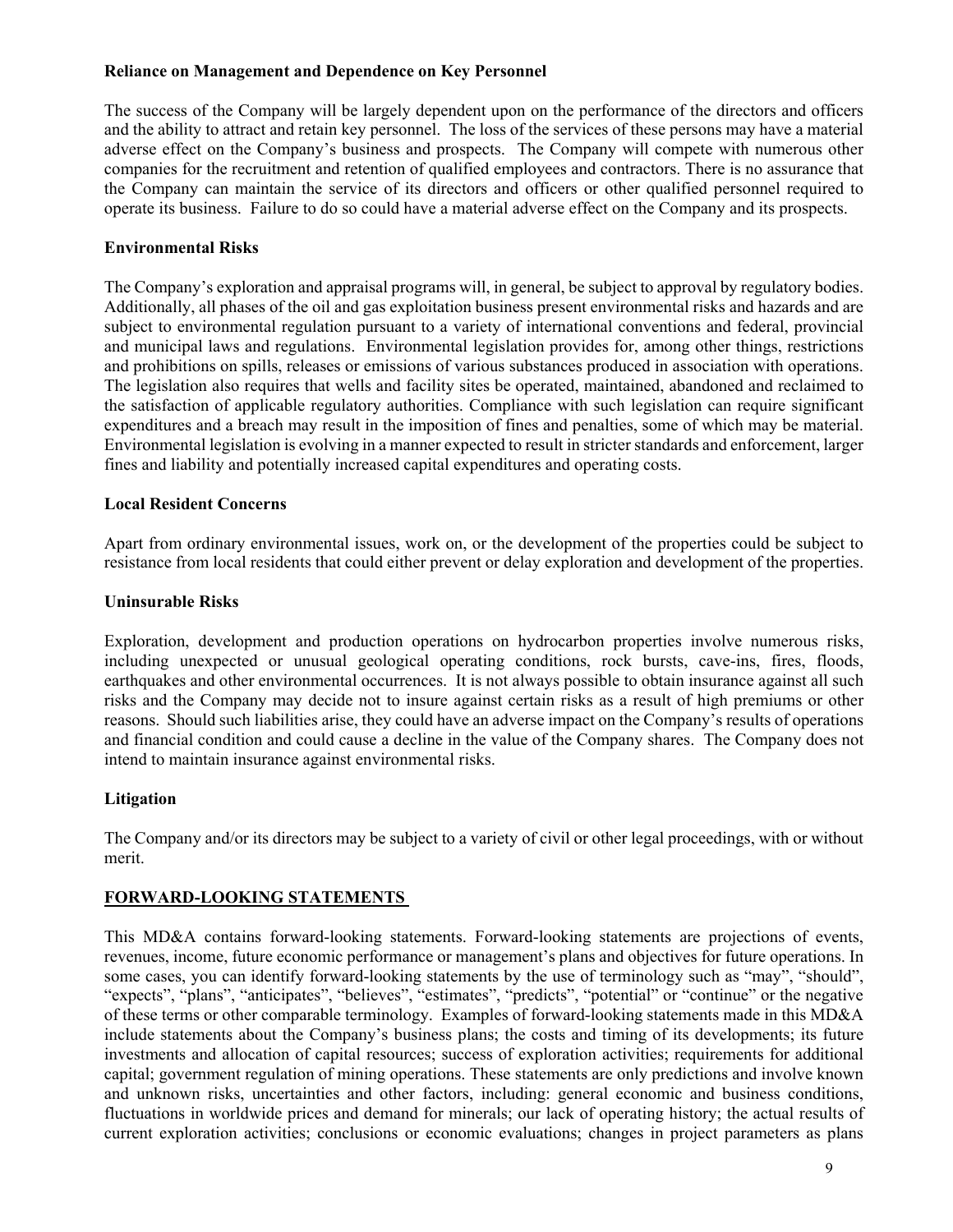### **Reliance on Management and Dependence on Key Personnel**

The success of the Company will be largely dependent upon on the performance of the directors and officers and the ability to attract and retain key personnel. The loss of the services of these persons may have a material adverse effect on the Company's business and prospects. The Company will compete with numerous other companies for the recruitment and retention of qualified employees and contractors. There is no assurance that the Company can maintain the service of its directors and officers or other qualified personnel required to operate its business. Failure to do so could have a material adverse effect on the Company and its prospects.

# **Environmental Risks**

The Company's exploration and appraisal programs will, in general, be subject to approval by regulatory bodies. Additionally, all phases of the oil and gas exploitation business present environmental risks and hazards and are subject to environmental regulation pursuant to a variety of international conventions and federal, provincial and municipal laws and regulations. Environmental legislation provides for, among other things, restrictions and prohibitions on spills, releases or emissions of various substances produced in association with operations. The legislation also requires that wells and facility sites be operated, maintained, abandoned and reclaimed to the satisfaction of applicable regulatory authorities. Compliance with such legislation can require significant expenditures and a breach may result in the imposition of fines and penalties, some of which may be material. Environmental legislation is evolving in a manner expected to result in stricter standards and enforcement, larger fines and liability and potentially increased capital expenditures and operating costs.

# **Local Resident Concerns**

Apart from ordinary environmental issues, work on, or the development of the properties could be subject to resistance from local residents that could either prevent or delay exploration and development of the properties.

### **Uninsurable Risks**

Exploration, development and production operations on hydrocarbon properties involve numerous risks, including unexpected or unusual geological operating conditions, rock bursts, cave-ins, fires, floods, earthquakes and other environmental occurrences. It is not always possible to obtain insurance against all such risks and the Company may decide not to insure against certain risks as a result of high premiums or other reasons. Should such liabilities arise, they could have an adverse impact on the Company's results of operations and financial condition and could cause a decline in the value of the Company shares. The Company does not intend to maintain insurance against environmental risks.

# **Litigation**

The Company and/or its directors may be subject to a variety of civil or other legal proceedings, with or without merit.

# **FORWARD-LOOKING STATEMENTS**

This MD&A contains forward-looking statements. Forward-looking statements are projections of events, revenues, income, future economic performance or management's plans and objectives for future operations. In some cases, you can identify forward-looking statements by the use of terminology such as "may", "should", "expects", "plans", "anticipates", "believes", "estimates", "predicts", "potential" or "continue" or the negative of these terms or other comparable terminology. Examples of forward-looking statements made in this MD&A include statements about the Company's business plans; the costs and timing of its developments; its future investments and allocation of capital resources; success of exploration activities; requirements for additional capital; government regulation of mining operations. These statements are only predictions and involve known and unknown risks, uncertainties and other factors, including: general economic and business conditions, fluctuations in worldwide prices and demand for minerals; our lack of operating history; the actual results of current exploration activities; conclusions or economic evaluations; changes in project parameters as plans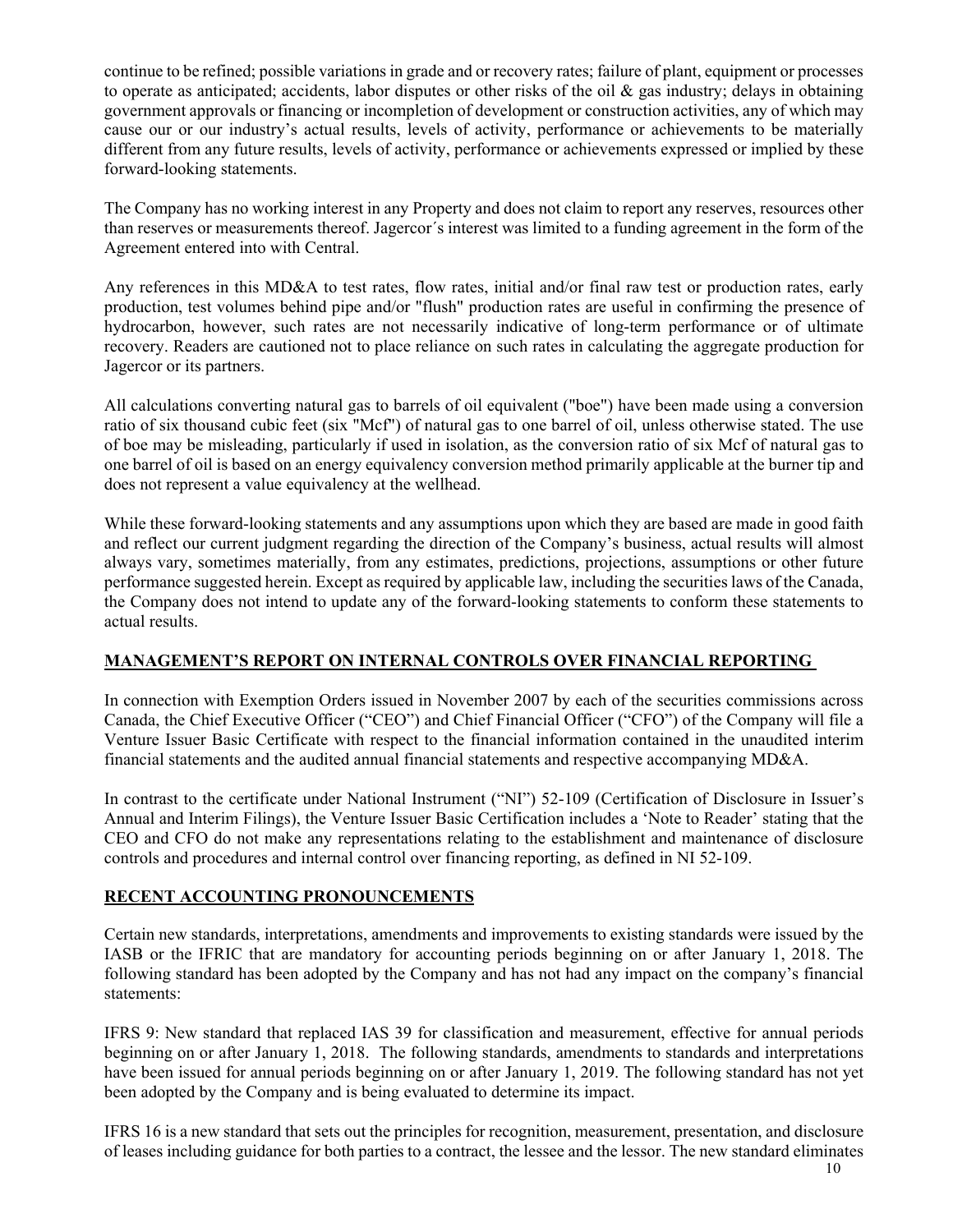continue to be refined; possible variations in grade and or recovery rates; failure of plant, equipment or processes to operate as anticipated; accidents, labor disputes or other risks of the oil  $\&$  gas industry; delays in obtaining government approvals or financing or incompletion of development or construction activities, any of which may cause our or our industry's actual results, levels of activity, performance or achievements to be materially different from any future results, levels of activity, performance or achievements expressed or implied by these forward-looking statements.

The Company has no working interest in any Property and does not claim to report any reserves, resources other than reserves or measurements thereof. Jagercor´s interest was limited to a funding agreement in the form of the Agreement entered into with Central.

Any references in this MD&A to test rates, flow rates, initial and/or final raw test or production rates, early production, test volumes behind pipe and/or "flush" production rates are useful in confirming the presence of hydrocarbon, however, such rates are not necessarily indicative of long-term performance or of ultimate recovery. Readers are cautioned not to place reliance on such rates in calculating the aggregate production for Jagercor or its partners.

All calculations converting natural gas to barrels of oil equivalent ("boe") have been made using a conversion ratio of six thousand cubic feet (six "Mcf") of natural gas to one barrel of oil, unless otherwise stated. The use of boe may be misleading, particularly if used in isolation, as the conversion ratio of six Mcf of natural gas to one barrel of oil is based on an energy equivalency conversion method primarily applicable at the burner tip and does not represent a value equivalency at the wellhead.

While these forward-looking statements and any assumptions upon which they are based are made in good faith and reflect our current judgment regarding the direction of the Company's business, actual results will almost always vary, sometimes materially, from any estimates, predictions, projections, assumptions or other future performance suggested herein. Except as required by applicable law, including the securities laws of the Canada, the Company does not intend to update any of the forward-looking statements to conform these statements to actual results.

# **MANAGEMENT'S REPORT ON INTERNAL CONTROLS OVER FINANCIAL REPORTING**

In connection with Exemption Orders issued in November 2007 by each of the securities commissions across Canada, the Chief Executive Officer ("CEO") and Chief Financial Officer ("CFO") of the Company will file a Venture Issuer Basic Certificate with respect to the financial information contained in the unaudited interim financial statements and the audited annual financial statements and respective accompanying MD&A.

In contrast to the certificate under National Instrument ("NI") 52-109 (Certification of Disclosure in Issuer's Annual and Interim Filings), the Venture Issuer Basic Certification includes a 'Note to Reader' stating that the CEO and CFO do not make any representations relating to the establishment and maintenance of disclosure controls and procedures and internal control over financing reporting, as defined in NI 52-109.

# **RECENT ACCOUNTING PRONOUNCEMENTS**

Certain new standards, interpretations, amendments and improvements to existing standards were issued by the IASB or the IFRIC that are mandatory for accounting periods beginning on or after January 1, 2018. The following standard has been adopted by the Company and has not had any impact on the company's financial statements:

IFRS 9: New standard that replaced IAS 39 for classification and measurement, effective for annual periods beginning on or after January 1, 2018. The following standards, amendments to standards and interpretations have been issued for annual periods beginning on or after January 1, 2019. The following standard has not yet been adopted by the Company and is being evaluated to determine its impact.

IFRS 16 is a new standard that sets out the principles for recognition, measurement, presentation, and disclosure of leases including guidance for both parties to a contract, the lessee and the lessor. The new standard eliminates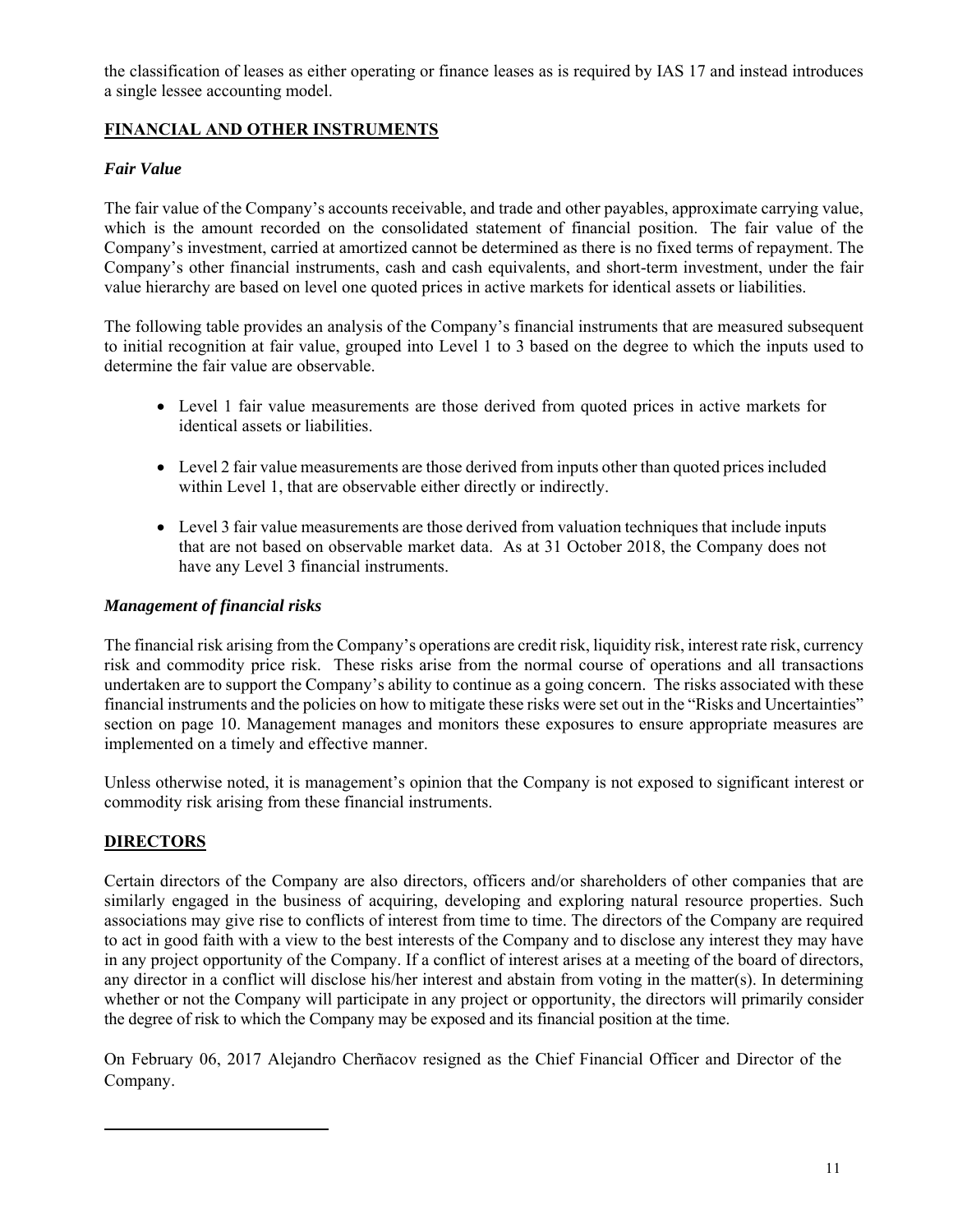the classification of leases as either operating or finance leases as is required by IAS 17 and instead introduces a single lessee accounting model.

# **FINANCIAL AND OTHER INSTRUMENTS**

### *Fair Value*

The fair value of the Company's accounts receivable, and trade and other payables, approximate carrying value, which is the amount recorded on the consolidated statement of financial position. The fair value of the Company's investment, carried at amortized cannot be determined as there is no fixed terms of repayment. The Company's other financial instruments, cash and cash equivalents, and short-term investment, under the fair value hierarchy are based on level one quoted prices in active markets for identical assets or liabilities.

The following table provides an analysis of the Company's financial instruments that are measured subsequent to initial recognition at fair value, grouped into Level 1 to 3 based on the degree to which the inputs used to determine the fair value are observable.

- Level 1 fair value measurements are those derived from quoted prices in active markets for identical assets or liabilities.
- Level 2 fair value measurements are those derived from inputs other than quoted prices included within Level 1, that are observable either directly or indirectly.
- Level 3 fair value measurements are those derived from valuation techniques that include inputs that are not based on observable market data. As at 31 October 2018, the Company does not have any Level 3 financial instruments.

#### *Management of financial risks*

The financial risk arising from the Company's operations are credit risk, liquidity risk, interest rate risk, currency risk and commodity price risk. These risks arise from the normal course of operations and all transactions undertaken are to support the Company's ability to continue as a going concern. The risks associated with these financial instruments and the policies on how to mitigate these risks were set out in the "Risks and Uncertainties" section on page 10. Management manages and monitors these exposures to ensure appropriate measures are implemented on a timely and effective manner.

Unless otherwise noted, it is management's opinion that the Company is not exposed to significant interest or commodity risk arising from these financial instruments.

#### **DIRECTORS**

Certain directors of the Company are also directors, officers and/or shareholders of other companies that are similarly engaged in the business of acquiring, developing and exploring natural resource properties. Such associations may give rise to conflicts of interest from time to time. The directors of the Company are required to act in good faith with a view to the best interests of the Company and to disclose any interest they may have in any project opportunity of the Company. If a conflict of interest arises at a meeting of the board of directors, any director in a conflict will disclose his/her interest and abstain from voting in the matter(s). In determining whether or not the Company will participate in any project or opportunity, the directors will primarily consider the degree of risk to which the Company may be exposed and its financial position at the time.

On February 06, 2017 Alejandro Cherñacov resigned as the Chief Financial Officer and Director of the Company.